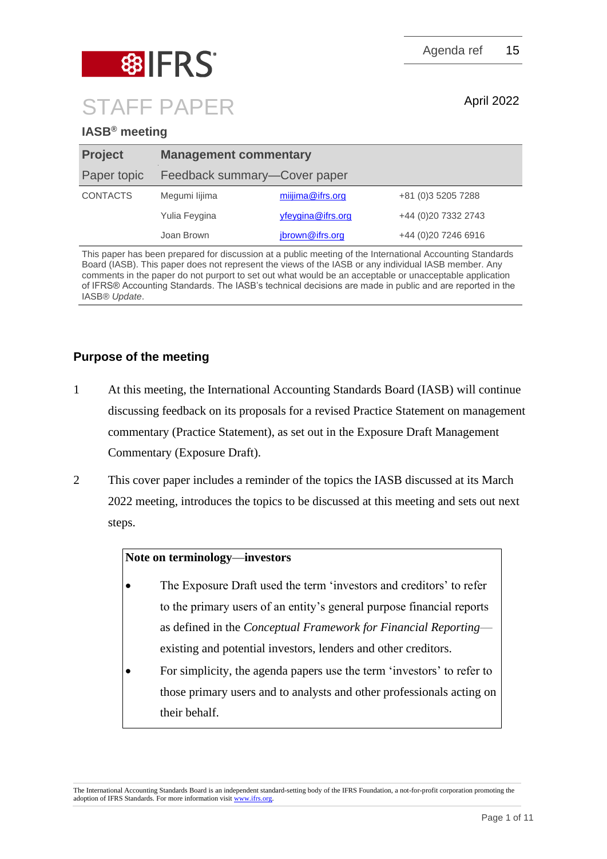

# STAFF PAPER April 2022

**IASB® meeting**

| <b>Project</b>  | <b>Management commentary</b> |                   |                      |
|-----------------|------------------------------|-------------------|----------------------|
| Paper topic     | Feedback summary-Cover paper |                   |                      |
| <b>CONTACTS</b> | Megumi lijima                | miijima@ifrs.org  | +81 (0)3 5205 7288   |
|                 | Yulia Feygina                | yfeygina@ifrs.org | +44 (0)20 7332 2743  |
|                 | Joan Brown                   | jbrown@ifrs.org   | +44 (0) 20 7246 6916 |

This paper has been prepared for discussion at a public meeting of the International Accounting Standards Board (IASB). This paper does not represent the views of the IASB or any individual IASB member. Any comments in the paper do not purport to set out what would be an acceptable or unacceptable application of IFRS® Accounting Standards. The IASB's technical decisions are made in public and are reported in the IASB® *Update*.

### **Purpose of the meeting**

- 1 At this meeting, the International Accounting Standards Board (IASB) will continue discussing feedback on its proposals for a revised Practice Statement on management commentary (Practice Statement), as set out in the Exposure Draft Management Commentary (Exposure Draft).
- 2 This cover paper includes a reminder of the topics the IASB discussed at its March 2022 meeting, introduces the topics to be discussed at this meeting and sets out next steps.

#### **Note on terminology—investors**

- The Exposure Draft used the term 'investors and creditors' to refer to the primary users of an entity's general purpose financial reports as defined in the *Conceptual Framework for Financial Reporting* existing and potential investors, lenders and other creditors.
- For simplicity, the agenda papers use the term 'investors' to refer to those primary users and to analysts and other professionals acting on their behalf.

The International Accounting Standards Board is an independent standard-setting body of the IFRS Foundation, a not-for-profit corporation promoting the adoption of IFRS Standards. For more information visit [www.ifrs.org.](http://www.ifrs.org/)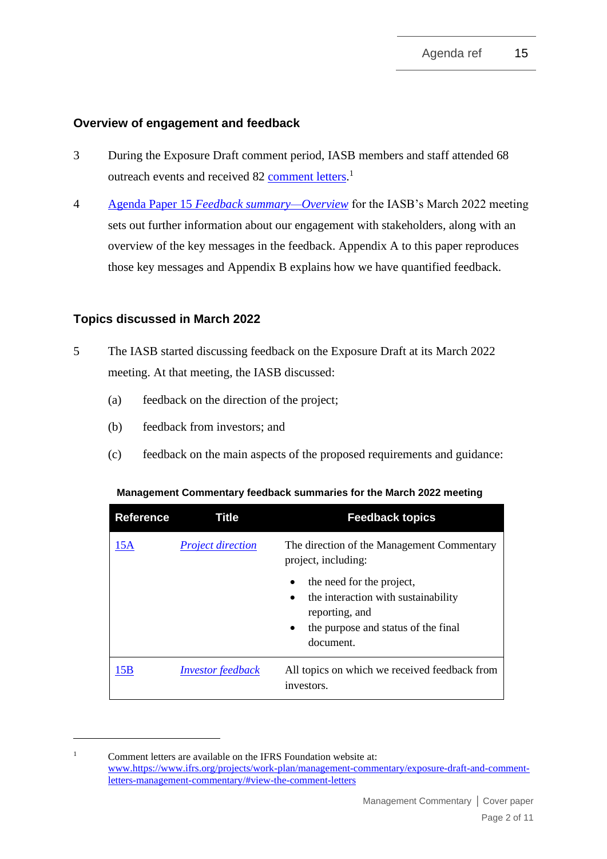#### **Overview of engagement and feedback**

- 3 During the Exposure Draft comment period, IASB members and staff attended 68 outreach events and received 82 [comment letters.](https://www.ifrs.org/projects/work-plan/management-commentary/exposure-draft-and-comment-letters-management-commentary/#view-the-comment-letters)<sup>1</sup>
- 4 Agenda Paper 15 *[Feedback summary—Overview](https://www.ifrs.org/content/dam/ifrs/meetings/2022/march/iasb/ap15-overview-of-feedback.pdf)* for the IASB's March 2022 meeting sets out further information about our engagement with stakeholders, along with an overview of the key messages in the feedback. Appendix A to this paper reproduces those key messages and Appendix B explains how we have quantified feedback.

#### **Topics discussed in March 2022**

- 5 The IASB started discussing feedback on the Exposure Draft at its March 2022 meeting. At that meeting, the IASB discussed:
	- (a) feedback on the direction of the project;
	- (b) feedback from investors; and
	- (c) feedback on the main aspects of the proposed requirements and guidance:

| <b>Reference</b> | Title                    | <b>Feedback topics</b>                                                                                                                                |
|------------------|--------------------------|-------------------------------------------------------------------------------------------------------------------------------------------------------|
| 15A              | <b>Project direction</b> | The direction of the Management Commentary<br>project, including:                                                                                     |
|                  |                          | the need for the project,<br>٠<br>the interaction with sustainability<br>٠<br>reporting, and<br>the purpose and status of the final<br>٠<br>document. |
| 15B              | <b>Investor</b> feedback | All topics on which we received feedback from<br>investors.                                                                                           |

#### **Management Commentary feedback summaries for the March 2022 meeting**

<sup>&</sup>lt;sup>1</sup> Comment letters are available on the IFRS Foundation website at: [www.](http://www./)[https://www.ifrs.org/projects/work-plan/management-commentary/exposure-draft-and-comment](https://www.ifrs.org/projects/work-plan/management-commentary/exposure-draft-and-comment-letters-management-commentary/#view-the-comment-letters)[letters-management-commentary/#view-the-comment-letters](https://www.ifrs.org/projects/work-plan/management-commentary/exposure-draft-and-comment-letters-management-commentary/#view-the-comment-letters)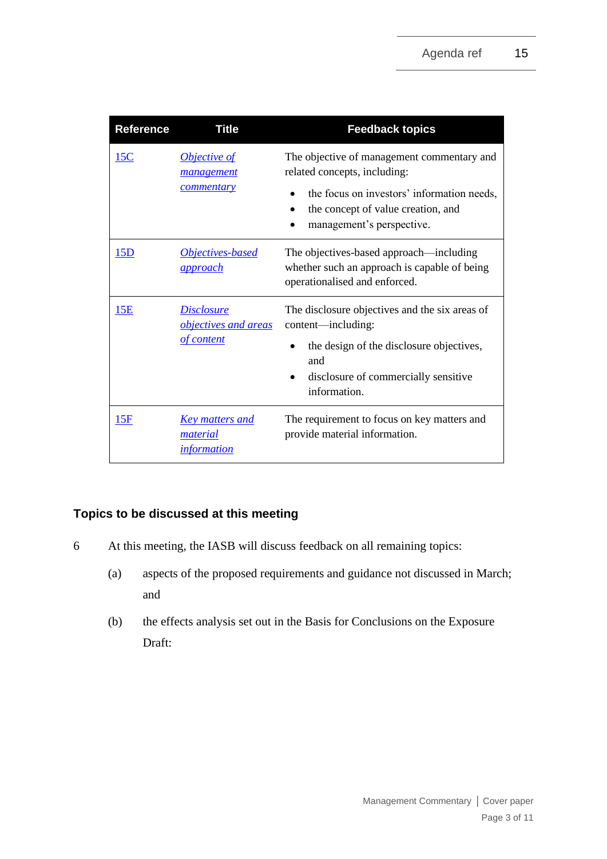| <b>Reference</b> | <b>Title</b>                                             | <b>Feedback topics</b>                                                                                                                                                                      |
|------------------|----------------------------------------------------------|---------------------------------------------------------------------------------------------------------------------------------------------------------------------------------------------|
| 15C              | <b>Objective of</b><br><i>management</i><br>commentary   | The objective of management commentary and<br>related concepts, including:<br>the focus on investors' information needs,<br>the concept of value creation, and<br>management's perspective. |
| 15D              | Objectives-based<br><u>approach</u>                      | The objectives-based approach—including<br>whether such an approach is capable of being<br>operationalised and enforced.                                                                    |
| 15E              | <u>Disclosure</u><br>objectives and areas<br>of content  | The disclosure objectives and the six areas of<br>content—including:<br>the design of the disclosure objectives,<br>and<br>disclosure of commercially sensitive<br>information.             |
| 15F              | <u>Key matters and</u><br>material<br><i>information</i> | The requirement to focus on key matters and<br>provide material information.                                                                                                                |

### **Topics to be discussed at this meeting**

- 6 At this meeting, the IASB will discuss feedback on all remaining topics:
	- (a) aspects of the proposed requirements and guidance not discussed in March; and
	- (b) the effects analysis set out in the Basis for Conclusions on the Exposure Draft: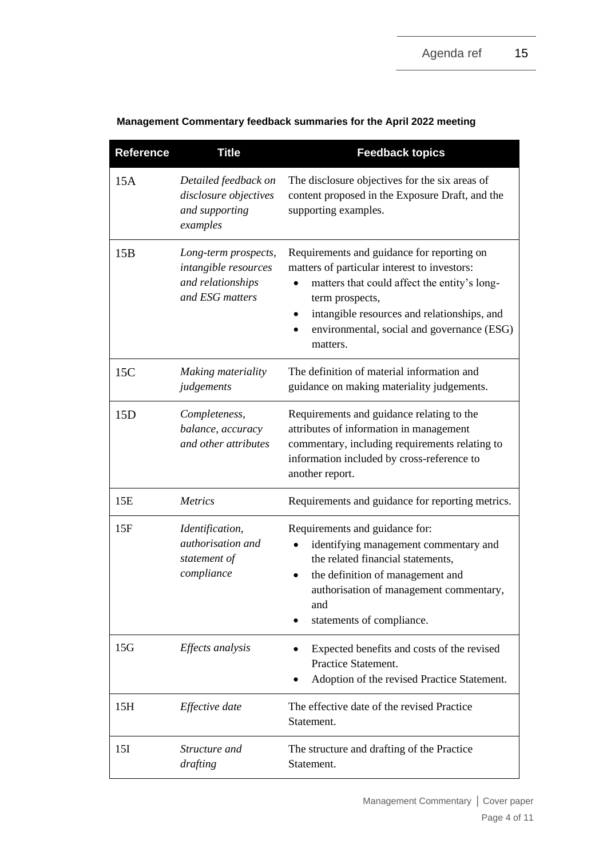| <b>Reference</b> | <b>Title</b>                                                                         | <b>Feedback topics</b>                                                                                                                                                                                                                                                 |
|------------------|--------------------------------------------------------------------------------------|------------------------------------------------------------------------------------------------------------------------------------------------------------------------------------------------------------------------------------------------------------------------|
| 15A              | Detailed feedback on<br>disclosure objectives<br>and supporting<br>examples          | The disclosure objectives for the six areas of<br>content proposed in the Exposure Draft, and the<br>supporting examples.                                                                                                                                              |
| 15B              | Long-term prospects,<br>intangible resources<br>and relationships<br>and ESG matters | Requirements and guidance for reporting on<br>matters of particular interest to investors:<br>matters that could affect the entity's long-<br>term prospects,<br>intangible resources and relationships, and<br>environmental, social and governance (ESG)<br>matters. |
| 15C              | Making materiality<br>judgements                                                     | The definition of material information and<br>guidance on making materiality judgements.                                                                                                                                                                               |
| 15D              | Completeness,<br>balance, accuracy<br>and other attributes                           | Requirements and guidance relating to the<br>attributes of information in management<br>commentary, including requirements relating to<br>information included by cross-reference to<br>another report.                                                                |
| 15E              | <b>Metrics</b>                                                                       | Requirements and guidance for reporting metrics.                                                                                                                                                                                                                       |
| 15F              | Identification,<br>authorisation and<br>statement of<br>compliance                   | Requirements and guidance for:<br>identifying management commentary and<br>the related financial statements,<br>the definition of management and<br>authorisation of management commentary,<br>and<br>statements of compliance.                                        |
| 15G              | Effects analysis                                                                     | Expected benefits and costs of the revised<br>Practice Statement.<br>Adoption of the revised Practice Statement.                                                                                                                                                       |
| 15H              | Effective date                                                                       | The effective date of the revised Practice<br>Statement.                                                                                                                                                                                                               |
| 15I              | Structure and<br>drafting                                                            | The structure and drafting of the Practice<br>Statement.                                                                                                                                                                                                               |

#### **Management Commentary feedback summaries for the April 2022 meeting**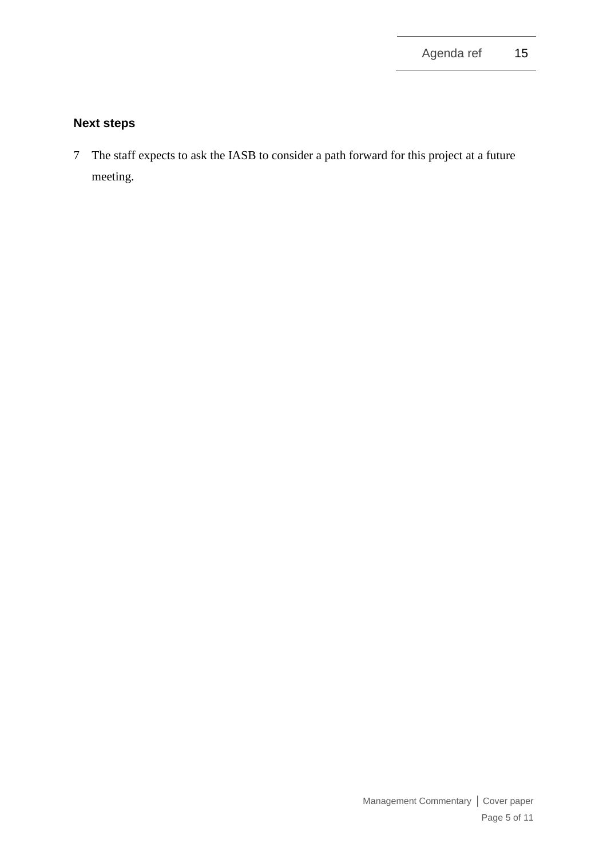# **Next steps**

7 The staff expects to ask the IASB to consider a path forward for this project at a future meeting.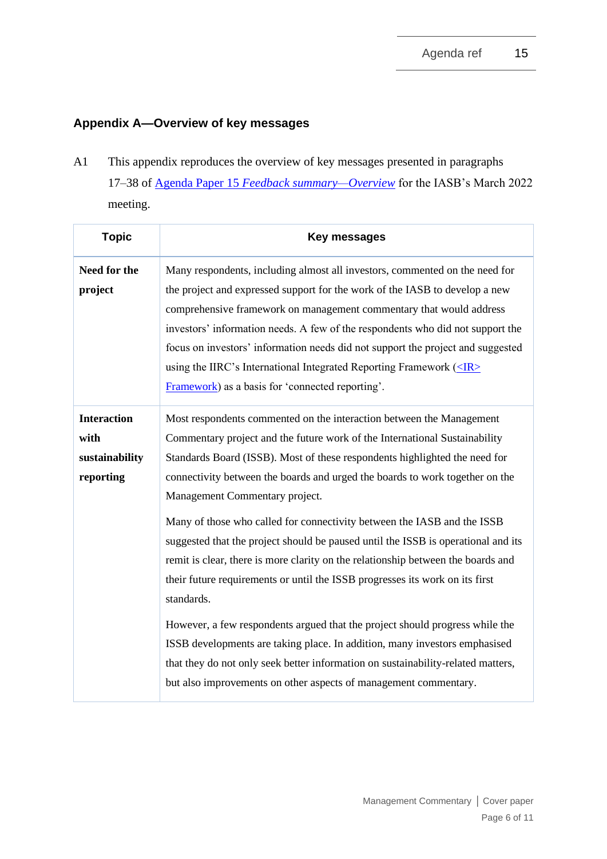# **Appendix A—Overview of key messages**

A1 This appendix reproduces the overview of key messages presented in paragraphs 17–38 of Agenda Paper 15 *[Feedback summary—Overview](https://www.ifrs.org/content/dam/ifrs/meetings/2022/march/iasb/ap15-overview-of-feedback.pdf)* for the IASB's March 2022 meeting.

| <b>Topic</b>                                              | <b>Key messages</b>                                                                                                                                                                                                                                                                                                                                                                                                                                                                                                                                                                                                                                                                                                                                                                                                                                                                                                                                    |
|-----------------------------------------------------------|--------------------------------------------------------------------------------------------------------------------------------------------------------------------------------------------------------------------------------------------------------------------------------------------------------------------------------------------------------------------------------------------------------------------------------------------------------------------------------------------------------------------------------------------------------------------------------------------------------------------------------------------------------------------------------------------------------------------------------------------------------------------------------------------------------------------------------------------------------------------------------------------------------------------------------------------------------|
| Need for the<br>project                                   | Many respondents, including almost all investors, commented on the need for<br>the project and expressed support for the work of the IASB to develop a new<br>comprehensive framework on management commentary that would address<br>investors' information needs. A few of the respondents who did not support the<br>focus on investors' information needs did not support the project and suggested<br>using the IIRC's International Integrated Reporting Framework $(\leq R$<br>Framework) as a basis for 'connected reporting'.                                                                                                                                                                                                                                                                                                                                                                                                                  |
| <b>Interaction</b><br>with<br>sustainability<br>reporting | Most respondents commented on the interaction between the Management<br>Commentary project and the future work of the International Sustainability<br>Standards Board (ISSB). Most of these respondents highlighted the need for<br>connectivity between the boards and urged the boards to work together on the<br>Management Commentary project.<br>Many of those who called for connectivity between the IASB and the ISSB<br>suggested that the project should be paused until the ISSB is operational and its<br>remit is clear, there is more clarity on the relationship between the boards and<br>their future requirements or until the ISSB progresses its work on its first<br>standards.<br>However, a few respondents argued that the project should progress while the<br>ISSB developments are taking place. In addition, many investors emphasised<br>that they do not only seek better information on sustainability-related matters, |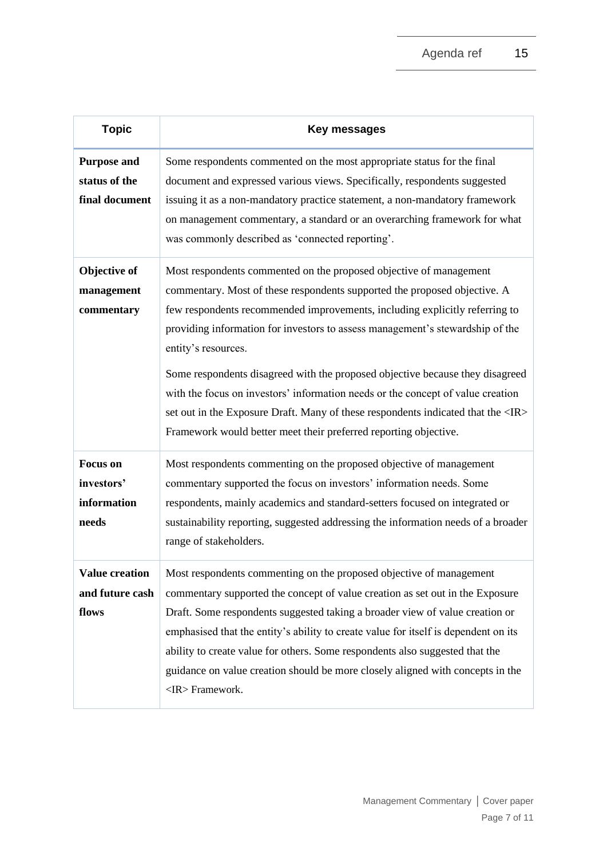| <b>Topic</b>                                          | <b>Key messages</b>                                                                                                                                                                                                                                                                                                                                                                                                                                                                                                                                                                                                                                                      |
|-------------------------------------------------------|--------------------------------------------------------------------------------------------------------------------------------------------------------------------------------------------------------------------------------------------------------------------------------------------------------------------------------------------------------------------------------------------------------------------------------------------------------------------------------------------------------------------------------------------------------------------------------------------------------------------------------------------------------------------------|
| <b>Purpose and</b><br>status of the<br>final document | Some respondents commented on the most appropriate status for the final<br>document and expressed various views. Specifically, respondents suggested<br>issuing it as a non-mandatory practice statement, a non-mandatory framework<br>on management commentary, a standard or an overarching framework for what<br>was commonly described as 'connected reporting'.                                                                                                                                                                                                                                                                                                     |
| Objective of<br>management<br>commentary              | Most respondents commented on the proposed objective of management<br>commentary. Most of these respondents supported the proposed objective. A<br>few respondents recommended improvements, including explicitly referring to<br>providing information for investors to assess management's stewardship of the<br>entity's resources.<br>Some respondents disagreed with the proposed objective because they disagreed<br>with the focus on investors' information needs or the concept of value creation<br>set out in the Exposure Draft. Many of these respondents indicated that the <ir><br/>Framework would better meet their preferred reporting objective.</ir> |
| <b>Focus</b> on<br>investors'<br>information<br>needs | Most respondents commenting on the proposed objective of management<br>commentary supported the focus on investors' information needs. Some<br>respondents, mainly academics and standard-setters focused on integrated or<br>sustainability reporting, suggested addressing the information needs of a broader<br>range of stakeholders.                                                                                                                                                                                                                                                                                                                                |
| <b>Value creation</b><br>and future cash<br>flows     | Most respondents commenting on the proposed objective of management<br>commentary supported the concept of value creation as set out in the Exposure<br>Draft. Some respondents suggested taking a broader view of value creation or<br>emphasised that the entity's ability to create value for itself is dependent on its<br>ability to create value for others. Some respondents also suggested that the<br>guidance on value creation should be more closely aligned with concepts in the<br><ir> Framework.</ir>                                                                                                                                                    |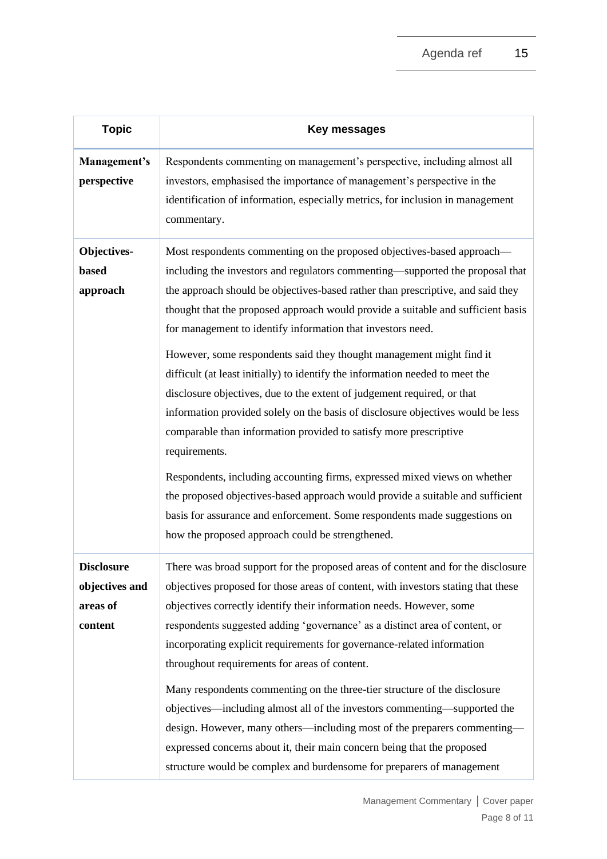| <b>Topic</b>                                               | Key messages                                                                                                                                                                                                                                                                                                                                                                                                                                                                                                                                                                                                                                                                                                                                                                                                                                                                                                                                                                                                                                                                                               |
|------------------------------------------------------------|------------------------------------------------------------------------------------------------------------------------------------------------------------------------------------------------------------------------------------------------------------------------------------------------------------------------------------------------------------------------------------------------------------------------------------------------------------------------------------------------------------------------------------------------------------------------------------------------------------------------------------------------------------------------------------------------------------------------------------------------------------------------------------------------------------------------------------------------------------------------------------------------------------------------------------------------------------------------------------------------------------------------------------------------------------------------------------------------------------|
| Management's<br>perspective                                | Respondents commenting on management's perspective, including almost all<br>investors, emphasised the importance of management's perspective in the<br>identification of information, especially metrics, for inclusion in management<br>commentary.                                                                                                                                                                                                                                                                                                                                                                                                                                                                                                                                                                                                                                                                                                                                                                                                                                                       |
| Objectives-<br>based<br>approach                           | Most respondents commenting on the proposed objectives-based approach—<br>including the investors and regulators commenting—supported the proposal that<br>the approach should be objectives-based rather than prescriptive, and said they<br>thought that the proposed approach would provide a suitable and sufficient basis<br>for management to identify information that investors need.<br>However, some respondents said they thought management might find it<br>difficult (at least initially) to identify the information needed to meet the<br>disclosure objectives, due to the extent of judgement required, or that<br>information provided solely on the basis of disclosure objectives would be less<br>comparable than information provided to satisfy more prescriptive<br>requirements.<br>Respondents, including accounting firms, expressed mixed views on whether<br>the proposed objectives-based approach would provide a suitable and sufficient<br>basis for assurance and enforcement. Some respondents made suggestions on<br>how the proposed approach could be strengthened. |
| <b>Disclosure</b><br>objectives and<br>areas of<br>content | There was broad support for the proposed areas of content and for the disclosure<br>objectives proposed for those areas of content, with investors stating that these<br>objectives correctly identify their information needs. However, some<br>respondents suggested adding 'governance' as a distinct area of content, or<br>incorporating explicit requirements for governance-related information<br>throughout requirements for areas of content.<br>Many respondents commenting on the three-tier structure of the disclosure<br>objectives—including almost all of the investors commenting—supported the<br>design. However, many others—including most of the preparers commenting—<br>expressed concerns about it, their main concern being that the proposed<br>structure would be complex and burdensome for preparers of management                                                                                                                                                                                                                                                          |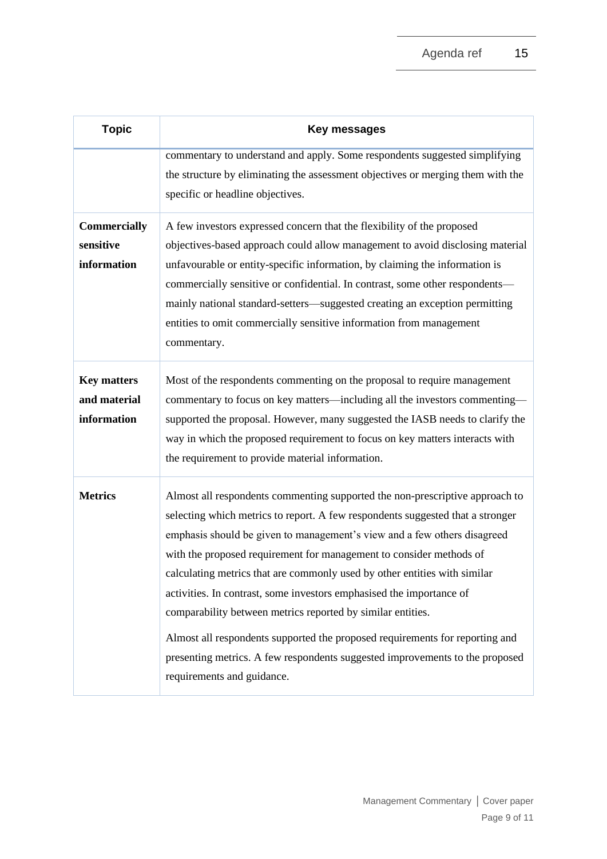| <b>Topic</b>                                      | <b>Key messages</b>                                                                                                                                                                                                                                                                                                                                                                                                                                                                                                                                                                                                                                                                                                                 |  |
|---------------------------------------------------|-------------------------------------------------------------------------------------------------------------------------------------------------------------------------------------------------------------------------------------------------------------------------------------------------------------------------------------------------------------------------------------------------------------------------------------------------------------------------------------------------------------------------------------------------------------------------------------------------------------------------------------------------------------------------------------------------------------------------------------|--|
|                                                   | commentary to understand and apply. Some respondents suggested simplifying<br>the structure by eliminating the assessment objectives or merging them with the<br>specific or headline objectives.                                                                                                                                                                                                                                                                                                                                                                                                                                                                                                                                   |  |
| <b>Commercially</b><br>sensitive<br>information   | A few investors expressed concern that the flexibility of the proposed<br>objectives-based approach could allow management to avoid disclosing material<br>unfavourable or entity-specific information, by claiming the information is<br>commercially sensitive or confidential. In contrast, some other respondents-<br>mainly national standard-setters—suggested creating an exception permitting<br>entities to omit commercially sensitive information from management<br>commentary.                                                                                                                                                                                                                                         |  |
| <b>Key matters</b><br>and material<br>information | Most of the respondents commenting on the proposal to require management<br>commentary to focus on key matters—including all the investors commenting—<br>supported the proposal. However, many suggested the IASB needs to clarify the<br>way in which the proposed requirement to focus on key matters interacts with<br>the requirement to provide material information.                                                                                                                                                                                                                                                                                                                                                         |  |
| <b>Metrics</b>                                    | Almost all respondents commenting supported the non-prescriptive approach to<br>selecting which metrics to report. A few respondents suggested that a stronger<br>emphasis should be given to management's view and a few others disagreed<br>with the proposed requirement for management to consider methods of<br>calculating metrics that are commonly used by other entities with similar<br>activities. In contrast, some investors emphasised the importance of<br>comparability between metrics reported by similar entities.<br>Almost all respondents supported the proposed requirements for reporting and<br>presenting metrics. A few respondents suggested improvements to the proposed<br>requirements and guidance. |  |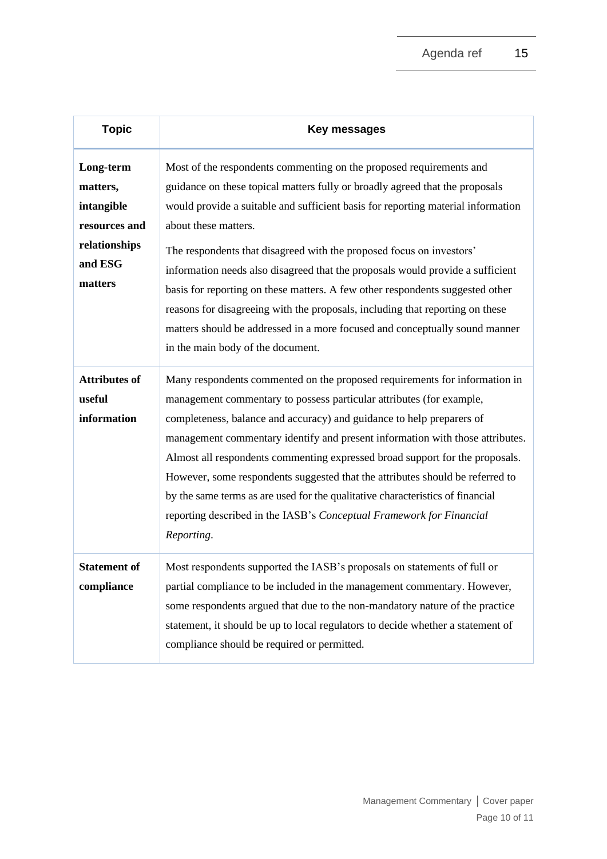| <b>Topic</b>                                                                                | Key messages                                                                                                                                                                                                                                                                                                                                                                                                                                                                                                                                                                                                                                                                                                    |
|---------------------------------------------------------------------------------------------|-----------------------------------------------------------------------------------------------------------------------------------------------------------------------------------------------------------------------------------------------------------------------------------------------------------------------------------------------------------------------------------------------------------------------------------------------------------------------------------------------------------------------------------------------------------------------------------------------------------------------------------------------------------------------------------------------------------------|
| Long-term<br>matters,<br>intangible<br>resources and<br>relationships<br>and ESG<br>matters | Most of the respondents commenting on the proposed requirements and<br>guidance on these topical matters fully or broadly agreed that the proposals<br>would provide a suitable and sufficient basis for reporting material information<br>about these matters.<br>The respondents that disagreed with the proposed focus on investors'<br>information needs also disagreed that the proposals would provide a sufficient<br>basis for reporting on these matters. A few other respondents suggested other<br>reasons for disagreeing with the proposals, including that reporting on these<br>matters should be addressed in a more focused and conceptually sound manner<br>in the main body of the document. |
| <b>Attributes of</b><br>useful<br>information                                               | Many respondents commented on the proposed requirements for information in<br>management commentary to possess particular attributes (for example,<br>completeness, balance and accuracy) and guidance to help preparers of<br>management commentary identify and present information with those attributes.<br>Almost all respondents commenting expressed broad support for the proposals.<br>However, some respondents suggested that the attributes should be referred to<br>by the same terms as are used for the qualitative characteristics of financial<br>reporting described in the IASB's Conceptual Framework for Financial<br>Reporting.                                                           |
| <b>Statement of</b><br>compliance                                                           | Most respondents supported the IASB's proposals on statements of full or<br>partial compliance to be included in the management commentary. However,<br>some respondents argued that due to the non-mandatory nature of the practice<br>statement, it should be up to local regulators to decide whether a statement of<br>compliance should be required or permitted.                                                                                                                                                                                                                                                                                                                                          |